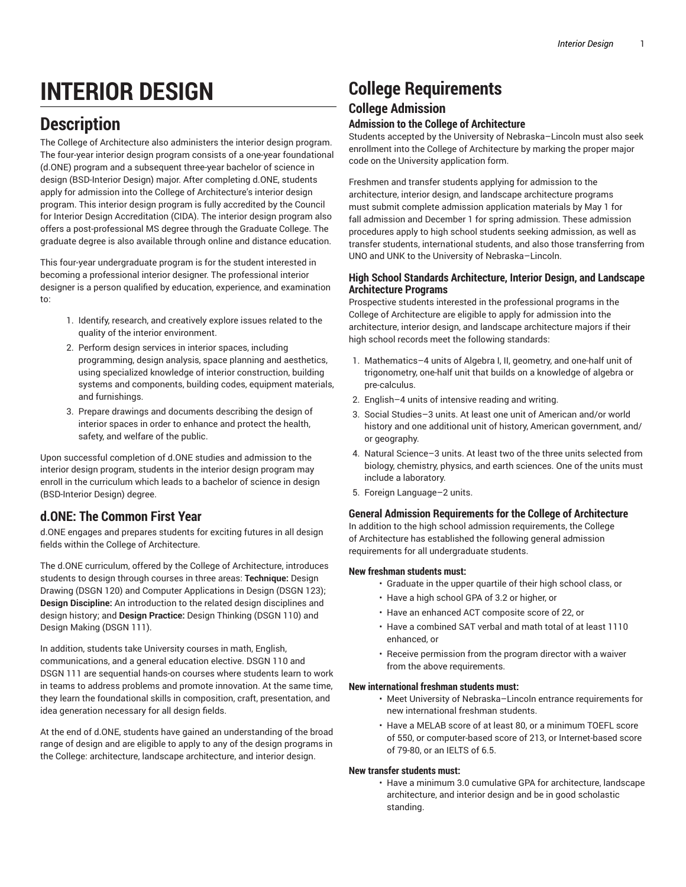# **INTERIOR DESIGN**

# **Description**

The College of Architecture also administers the interior design program. The four-year interior design program consists of a one-year foundational (d.ONE) program and a subsequent three-year bachelor of science in design (BSD-Interior Design) major. After completing d.ONE, students apply for admission into the College of Architecture's interior design program. This interior design program is fully accredited by the Council for Interior Design Accreditation (CIDA). The interior design program also offers a post-professional MS degree through the Graduate College. The graduate degree is also available through online and distance education.

This four-year undergraduate program is for the student interested in becoming a professional interior designer. The professional interior designer is a person qualified by education, experience, and examination to:

- 1. Identify, research, and creatively explore issues related to the quality of the interior environment.
- 2. Perform design services in interior spaces, including programming, design analysis, space planning and aesthetics, using specialized knowledge of interior construction, building systems and components, building codes, equipment materials, and furnishings.
- 3. Prepare drawings and documents describing the design of interior spaces in order to enhance and protect the health, safety, and welfare of the public.

Upon successful completion of d.ONE studies and admission to the interior design program, students in the interior design program may enroll in the curriculum which leads to a bachelor of science in design (BSD-Interior Design) degree.

# **d.ONE: The Common First Year**

d.ONE engages and prepares students for exciting futures in all design fields within the College of Architecture.

The d.ONE curriculum, offered by the College of Architecture, introduces students to design through courses in three areas: **Technique:** Design Drawing (DSGN 120) and Computer Applications in Design (DSGN 123); **Design Discipline:** An introduction to the related design disciplines and design history; and **Design Practice:** Design Thinking (DSGN 110) and Design Making (DSGN 111).

In addition, students take University courses in math, English, communications, and a general education elective. DSGN 110 and DSGN 111 are sequential hands-on courses where students learn to work in teams to address problems and promote innovation. At the same time, they learn the foundational skills in composition, craft, presentation, and idea generation necessary for all design fields.

At the end of d.ONE, students have gained an understanding of the broad range of design and are eligible to apply to any of the design programs in the College: architecture, landscape architecture, and interior design.

# **College Requirements**

# **College Admission**

# **Admission to the College of Architecture**

Students accepted by the University of Nebraska–Lincoln must also seek enrollment into the College of Architecture by marking the proper major code on the University application form.

Freshmen and transfer students applying for admission to the architecture, interior design, and landscape architecture programs must submit complete admission application materials by May 1 for fall admission and December 1 for spring admission. These admission procedures apply to high school students seeking admission, as well as transfer students, international students, and also those transferring from UNO and UNK to the University of Nebraska–Lincoln.

# **High School Standards Architecture, Interior Design, and Landscape Architecture Programs**

Prospective students interested in the professional programs in the College of Architecture are eligible to apply for admission into the architecture, interior design, and landscape architecture majors if their high school records meet the following standards:

- 1. Mathematics–4 units of Algebra I, II, geometry, and one-half unit of trigonometry, one-half unit that builds on a knowledge of algebra or pre-calculus.
- 2. English–4 units of intensive reading and writing.
- 3. Social Studies–3 units. At least one unit of American and/or world history and one additional unit of history, American government, and/ or geography.
- 4. Natural Science–3 units. At least two of the three units selected from biology, chemistry, physics, and earth sciences. One of the units must include a laboratory.
- 5. Foreign Language–2 units.

# **General Admission Requirements for the College of Architecture**

In addition to the high school admission requirements, the College of Architecture has established the following general admission requirements for all undergraduate students.

# **New freshman students must:**

- Graduate in the upper quartile of their high school class, or
- Have a high school GPA of 3.2 or higher, or
- Have an enhanced ACT composite score of 22, or
- Have a combined SAT verbal and math total of at least 1110 enhanced, or
- Receive permission from the program director with a waiver from the above requirements.

# **New international freshman students must:**

- Meet University of Nebraska–Lincoln entrance requirements for new international freshman students.
- Have a MELAB score of at least 80, or a minimum TOEFL score of 550, or computer-based score of 213, or Internet-based score of 79-80, or an IELTS of 6.5.

# **New transfer students must:**

• Have a minimum 3.0 cumulative GPA for architecture, landscape architecture, and interior design and be in good scholastic standing.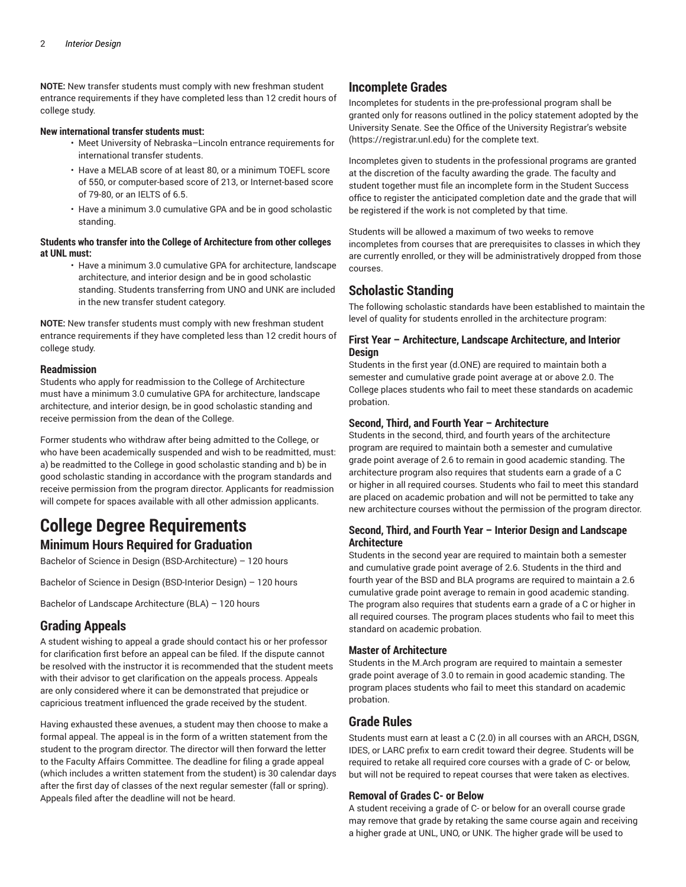**NOTE:** New transfer students must comply with new freshman student entrance requirements if they have completed less than 12 credit hours of college study.

### **New international transfer students must:**

- Meet University of Nebraska–Lincoln entrance requirements for international transfer students.
- Have a MELAB score of at least 80, or a minimum TOEFL score of 550, or computer-based score of 213, or Internet-based score of 79-80, or an IELTS of 6.5.
- Have a minimum 3.0 cumulative GPA and be in good scholastic standing.

## **Students who transfer into the College of Architecture from other colleges at UNL must:**

• Have a minimum 3.0 cumulative GPA for architecture, landscape architecture, and interior design and be in good scholastic standing. Students transferring from UNO and UNK are included in the new transfer student category.

**NOTE:** New transfer students must comply with new freshman student entrance requirements if they have completed less than 12 credit hours of college study.

### **Readmission**

Students who apply for readmission to the College of Architecture must have a minimum 3.0 cumulative GPA for architecture, landscape architecture, and interior design, be in good scholastic standing and receive permission from the dean of the College.

Former students who withdraw after being admitted to the College, or who have been academically suspended and wish to be readmitted, must: a) be readmitted to the College in good scholastic standing and b) be in good scholastic standing in accordance with the program standards and receive permission from the program director. Applicants for readmission will compete for spaces available with all other admission applicants.

# **College Degree Requirements**

# **Minimum Hours Required for Graduation**

Bachelor of Science in Design (BSD-Architecture) – 120 hours

Bachelor of Science in Design (BSD-Interior Design) – 120 hours

Bachelor of Landscape Architecture (BLA) – 120 hours

# **Grading Appeals**

A student wishing to appeal a grade should contact his or her professor for clarification first before an appeal can be filed. If the dispute cannot be resolved with the instructor it is recommended that the student meets with their advisor to get clarification on the appeals process. Appeals are only considered where it can be demonstrated that prejudice or capricious treatment influenced the grade received by the student.

Having exhausted these avenues, a student may then choose to make a formal appeal. The appeal is in the form of a written statement from the student to the program director. The director will then forward the letter to the Faculty Affairs Committee. The deadline for filing a grade appeal (which includes a written statement from the student) is 30 calendar days after the first day of classes of the next regular semester (fall or spring). Appeals filed after the deadline will not be heard.

# **Incomplete Grades**

Incompletes for students in the pre-professional program shall be granted only for reasons outlined in the policy statement adopted by the University Senate. See the Office of the University Registrar's [website](https://registrar.unl.edu) [\(https://registrar.unl.edu\)](https://registrar.unl.edu) for the complete text.

Incompletes given to students in the professional programs are granted at the discretion of the faculty awarding the grade. The faculty and student together must file an incomplete form in the Student Success office to register the anticipated completion date and the grade that will be registered if the work is not completed by that time.

Students will be allowed a maximum of two weeks to remove incompletes from courses that are prerequisites to classes in which they are currently enrolled, or they will be administratively dropped from those courses.

# **Scholastic Standing**

The following scholastic standards have been established to maintain the level of quality for students enrolled in the architecture program:

# **First Year – Architecture, Landscape Architecture, and Interior Design**

Students in the first year (d.ONE) are required to maintain both a semester and cumulative grade point average at or above 2.0. The College places students who fail to meet these standards on academic probation.

# **Second, Third, and Fourth Year – Architecture**

Students in the second, third, and fourth years of the architecture program are required to maintain both a semester and cumulative grade point average of 2.6 to remain in good academic standing. The architecture program also requires that students earn a grade of a C or higher in all required courses. Students who fail to meet this standard are placed on academic probation and will not be permitted to take any new architecture courses without the permission of the program director.

# **Second, Third, and Fourth Year – Interior Design and Landscape Architecture**

Students in the second year are required to maintain both a semester and cumulative grade point average of 2.6. Students in the third and fourth year of the BSD and BLA programs are required to maintain a 2.6 cumulative grade point average to remain in good academic standing. The program also requires that students earn a grade of a C or higher in all required courses. The program places students who fail to meet this standard on academic probation.

# **Master of Architecture**

Students in the M.Arch program are required to maintain a semester grade point average of 3.0 to remain in good academic standing. The program places students who fail to meet this standard on academic probation.

# **Grade Rules**

Students must earn at least a C (2.0) in all courses with an ARCH, DSGN, IDES, or LARC prefix to earn credit toward their degree. Students will be required to retake all required core courses with a grade of C- or below, but will not be required to repeat courses that were taken as electives.

### **Removal of Grades C- or Below**

A student receiving a grade of C- or below for an overall course grade may remove that grade by retaking the same course again and receiving a higher grade at UNL, UNO, or UNK. The higher grade will be used to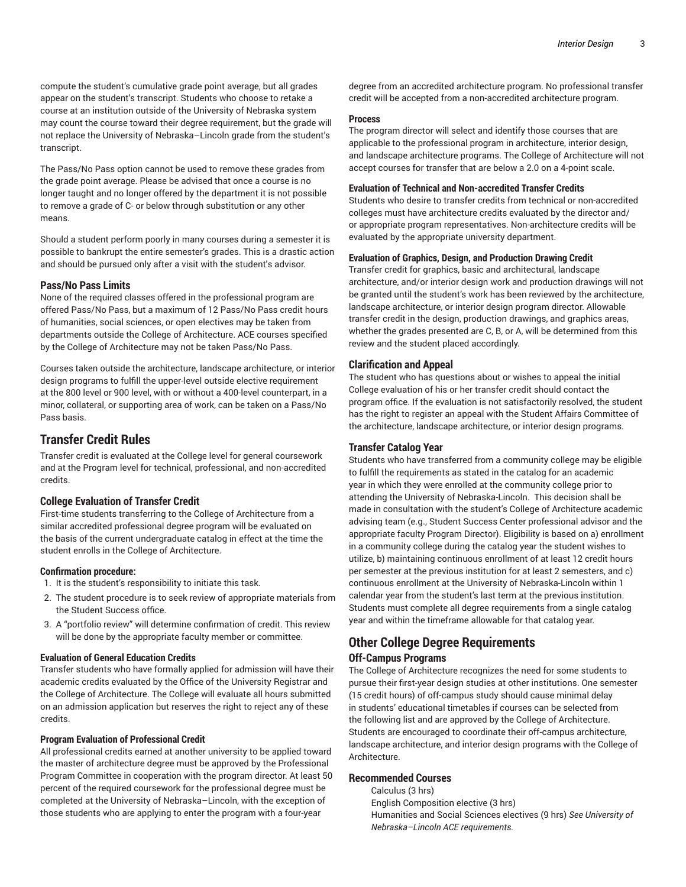compute the student's cumulative grade point average, but all grades appear on the student's transcript. Students who choose to retake a course at an institution outside of the University of Nebraska system may count the course toward their degree requirement, but the grade will not replace the University of Nebraska–Lincoln grade from the student's transcript.

The Pass/No Pass option cannot be used to remove these grades from the grade point average. Please be advised that once a course is no longer taught and no longer offered by the department it is not possible to remove a grade of C- or below through substitution or any other means.

Should a student perform poorly in many courses during a semester it is possible to bankrupt the entire semester's grades. This is a drastic action and should be pursued only after a visit with the student's advisor.

# **Pass/No Pass Limits**

None of the required classes offered in the professional program are offered Pass/No Pass, but a maximum of 12 Pass/No Pass credit hours of humanities, social sciences, or open electives may be taken from departments outside the College of Architecture. ACE courses specified by the College of Architecture may not be taken Pass/No Pass.

Courses taken outside the architecture, landscape architecture, or interior design programs to fulfill the upper-level outside elective requirement at the 800 level or 900 level, with or without a 400-level counterpart, in a minor, collateral, or supporting area of work, can be taken on a Pass/No Pass basis.

# **Transfer Credit Rules**

Transfer credit is evaluated at the College level for general coursework and at the Program level for technical, professional, and non-accredited credits.

# **College Evaluation of Transfer Credit**

First-time students transferring to the College of Architecture from a similar accredited professional degree program will be evaluated on the basis of the current undergraduate catalog in effect at the time the student enrolls in the College of Architecture.

### **Confirmation procedure:**

- 1. It is the student's responsibility to initiate this task.
- 2. The student procedure is to seek review of appropriate materials from the Student Success office.
- 3. A "portfolio review" will determine confirmation of credit. This review will be done by the appropriate faculty member or committee.

# **Evaluation of General Education Credits**

Transfer students who have formally applied for admission will have their academic credits evaluated by the Office of the University Registrar and the College of Architecture. The College will evaluate all hours submitted on an admission application but reserves the right to reject any of these credits.

### **Program Evaluation of Professional Credit**

All professional credits earned at another university to be applied toward the master of architecture degree must be approved by the Professional Program Committee in cooperation with the program director. At least 50 percent of the required coursework for the professional degree must be completed at the University of Nebraska–Lincoln, with the exception of those students who are applying to enter the program with a four-year

degree from an accredited architecture program. No professional transfer credit will be accepted from a non-accredited architecture program.

### **Process**

The program director will select and identify those courses that are applicable to the professional program in architecture, interior design, and landscape architecture programs. The College of Architecture will not accept courses for transfer that are below a 2.0 on a 4-point scale.

### **Evaluation of Technical and Non-accredited Transfer Credits**

Students who desire to transfer credits from technical or non-accredited colleges must have architecture credits evaluated by the director and/ or appropriate program representatives. Non-architecture credits will be evaluated by the appropriate university department.

### **Evaluation of Graphics, Design, and Production Drawing Credit**

Transfer credit for graphics, basic and architectural, landscape architecture, and/or interior design work and production drawings will not be granted until the student's work has been reviewed by the architecture, landscape architecture, or interior design program director. Allowable transfer credit in the design, production drawings, and graphics areas, whether the grades presented are C, B, or A, will be determined from this review and the student placed accordingly.

### **Clarification and Appeal**

The student who has questions about or wishes to appeal the initial College evaluation of his or her transfer credit should contact the program office. If the evaluation is not satisfactorily resolved, the student has the right to register an appeal with the Student Affairs Committee of the architecture, landscape architecture, or interior design programs.

### **Transfer Catalog Year**

Students who have transferred from a community college may be eligible to fulfill the requirements as stated in the catalog for an academic year in which they were enrolled at the community college prior to attending the University of Nebraska-Lincoln. This decision shall be made in consultation with the student's College of Architecture academic advising team (e.g., Student Success Center professional advisor and the appropriate faculty Program Director). Eligibility is based on a) enrollment in a community college during the catalog year the student wishes to utilize, b) maintaining continuous enrollment of at least 12 credit hours per semester at the previous institution for at least 2 semesters, and c) continuous enrollment at the University of Nebraska-Lincoln within 1 calendar year from the student's last term at the previous institution. Students must complete all degree requirements from a single catalog year and within the timeframe allowable for that catalog year.

# **Other College Degree Requirements Off-Campus Programs**

The College of Architecture recognizes the need for some students to pursue their first-year design studies at other institutions. One semester (15 credit hours) of off-campus study should cause minimal delay in students' educational timetables if courses can be selected from the following list and are approved by the College of Architecture. Students are encouraged to coordinate their off-campus architecture, landscape architecture, and interior design programs with the College of Architecture.

# **Recommended Courses**

Calculus (3 hrs) English Composition elective (3 hrs) Humanities and Social Sciences electives (9 hrs) *See University of Nebraska–Lincoln ACE requirements.*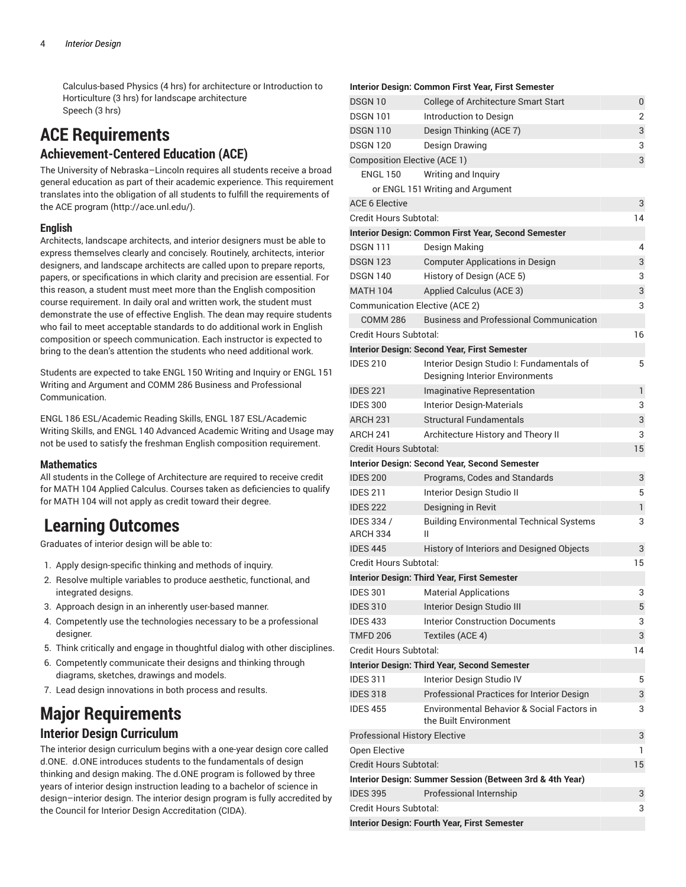Calculus-based Physics (4 hrs) for architecture or Introduction to Horticulture (3 hrs) for landscape architecture Speech (3 hrs)

# **ACE Requirements Achievement-Centered Education (ACE)**

The University of Nebraska–Lincoln requires all students receive a broad general education as part of their academic experience. This requirement translates into the obligation of all students to fulfill the requirements of the ACE [program \(http://ace.unl.edu/\)](http://ace.unl.edu/).

# **English**

Architects, landscape architects, and interior designers must be able to express themselves clearly and concisely. Routinely, architects, interior designers, and landscape architects are called upon to prepare reports, papers, or specifications in which clarity and precision are essential. For this reason, a student must meet more than the English composition course requirement. In daily oral and written work, the student must demonstrate the use of effective English. The dean may require students who fail to meet acceptable standards to do additional work in English composition or speech communication. Each instructor is expected to bring to the dean's attention the students who need additional work.

Students are expected to take ENGL 150 Writing and Inquiry or ENGL 151 Writing and Argument and COMM 286 Business and Professional Communication.

ENGL 186 ESL/Academic Reading Skills, ENGL 187 ESL/Academic Writing Skills, and ENGL 140 Advanced Academic Writing and Usage may not be used to satisfy the freshman English composition requirement.

# **Mathematics**

All students in the College of Architecture are required to receive credit for MATH 104 Applied Calculus. Courses taken as deficiencies to qualify for MATH 104 will not apply as credit toward their degree.

# **Learning Outcomes**

Graduates of interior design will be able to:

- 1. Apply design-specific thinking and methods of inquiry.
- 2. Resolve multiple variables to produce aesthetic, functional, and integrated designs.
- 3. Approach design in an inherently user-based manner.
- 4. Competently use the technologies necessary to be a professional designer.
- 5. Think critically and engage in thoughtful dialog with other disciplines.
- 6. Competently communicate their designs and thinking through diagrams, sketches, drawings and models.
- 7. Lead design innovations in both process and results.

# **Major Requirements**

# **Interior Design Curriculum**

The interior design curriculum begins with a one-year design core called d.ONE. d.ONE introduces students to the fundamentals of design thinking and design making. The d.ONE program is followed by three years of interior design instruction leading to a bachelor of science in design–interior design. The interior design program is fully accredited by the Council for Interior Design Accreditation (CIDA).

### **Interior Design: Common First Year, First Semester**

| DSGN 10                               | College of Architecture Smart Start                                          | 0  |
|---------------------------------------|------------------------------------------------------------------------------|----|
| <b>DSGN 101</b>                       | Introduction to Design                                                       | 2  |
| <b>DSGN 110</b>                       | Design Thinking (ACE 7)                                                      | 3  |
| <b>DSGN 120</b>                       | Design Drawing                                                               | 3  |
| <b>Composition Elective (ACE 1)</b>   |                                                                              | 3  |
| <b>ENGL 150</b>                       | Writing and Inquiry                                                          |    |
|                                       | or ENGL 151 Writing and Argument                                             |    |
| <b>ACE 6 Elective</b>                 |                                                                              | 3  |
| Credit Hours Subtotal:                |                                                                              | 14 |
|                                       | Interior Design: Common First Year, Second Semester                          |    |
| <b>DSGN 111</b>                       | Design Making                                                                | 4  |
| <b>DSGN 123</b>                       | <b>Computer Applications in Design</b>                                       | 3  |
| <b>DSGN 140</b>                       | History of Design (ACE 5)                                                    | 3  |
| <b>MATH 104</b>                       | Applied Calculus (ACE 3)                                                     | 3  |
| <b>Communication Elective (ACE 2)</b> |                                                                              | 3  |
| <b>COMM 286</b>                       | <b>Business and Professional Communication</b>                               |    |
| Credit Hours Subtotal:                |                                                                              | 16 |
|                                       | <b>Interior Design: Second Year, First Semester</b>                          |    |
| <b>IDES 210</b>                       | Interior Design Studio I: Fundamentals of<br>Designing Interior Environments | 5  |
| <b>IDES 221</b>                       | Imaginative Representation                                                   | 1  |
| <b>IDES 300</b>                       | Interior Design-Materials                                                    | 3  |
| ARCH <sub>231</sub>                   | <b>Structural Fundamentals</b>                                               | 3  |
| ARCH 241                              | Architecture History and Theory II                                           | 3  |
| Credit Hours Subtotal:                |                                                                              | 15 |
|                                       | <b>Interior Design: Second Year, Second Semester</b>                         |    |
| <b>IDES 200</b>                       | Programs, Codes and Standards                                                | 3  |
| <b>IDES 211</b>                       | Interior Design Studio II                                                    | 5  |
| <b>IDES 222</b>                       | Designing in Revit                                                           | 1  |
| IDES 334 /<br><b>ARCH 334</b>         | <b>Building Environmental Technical Systems</b><br>Ш                         | 3  |
| <b>IDES 445</b>                       | History of Interiors and Designed Objects                                    | 3  |
| Credit Hours Subtotal:                |                                                                              | 15 |
|                                       | <b>Interior Design: Third Year, First Semester</b>                           |    |
| <b>IDES 301</b>                       | <b>Material Applications</b>                                                 | 3  |
| <b>IDES 310</b>                       | Interior Design Studio III                                                   | 5  |
| <b>IDES 433</b>                       | <b>Interior Construction Documents</b>                                       | 3  |
| <b>TMFD 206</b>                       | Textiles (ACE 4)                                                             | 3  |
| Credit Hours Subtotal:                |                                                                              | 14 |
|                                       | <b>Interior Design: Third Year, Second Semester</b>                          |    |
| <b>IDES 311</b>                       | Interior Design Studio IV                                                    | 5  |
| <b>IDES 318</b>                       | Professional Practices for Interior Design                                   | 3  |
| <b>IDES 455</b>                       | Environmental Behavior & Social Factors in<br>the Built Environment          | 3  |
| <b>Professional History Elective</b>  |                                                                              | 3  |
| Open Elective                         |                                                                              | 1  |
| Credit Hours Subtotal:                |                                                                              | 15 |
|                                       | Interior Design: Summer Session (Between 3rd & 4th Year)                     |    |
| <b>IDES 395</b>                       | Professional Internship                                                      | 3  |
| Credit Hours Subtotal:                |                                                                              | 3  |
|                                       | Interior Design: Fourth Year, First Semester                                 |    |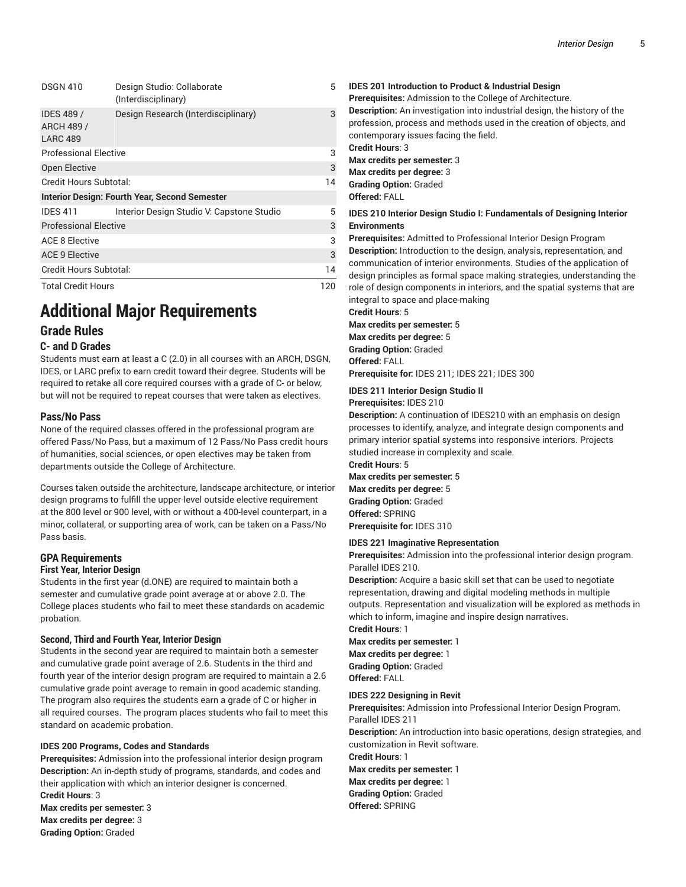| <b>DSGN 410</b>                                                                                          | Design Studio: Collaborate<br>(Interdisciplinary)    | 5 |                           |     |
|----------------------------------------------------------------------------------------------------------|------------------------------------------------------|---|---------------------------|-----|
| <b>IDES 489 /</b><br><b>ARCH 489 /</b><br><b>LARC 489</b>                                                | Design Research (Interdisciplinary)                  | 3 |                           |     |
| <b>Professional Elective</b>                                                                             |                                                      |   |                           |     |
| Open Elective                                                                                            |                                                      | 3 |                           |     |
| Credit Hours Subtotal:                                                                                   |                                                      |   |                           |     |
|                                                                                                          | <b>Interior Design: Fourth Year, Second Semester</b> |   |                           |     |
| <b>IDES 411</b>                                                                                          | Interior Design Studio V: Capstone Studio            | 5 |                           |     |
| <b>Professional Elective</b><br><b>ACE 8 Elective</b><br><b>ACE 9 Elective</b><br>Credit Hours Subtotal: |                                                      |   |                           |     |
|                                                                                                          |                                                      |   | <b>Total Credit Hours</b> | 120 |

# **Additional Major Requirements Grade Rules**

# **C- and D Grades**

Students must earn at least a C (2.0) in all courses with an ARCH, DSGN, IDES, or LARC prefix to earn credit toward their degree. Students will be required to retake all core required courses with a grade of C- or below, but will not be required to repeat courses that were taken as electives.

# **Pass/No Pass**

None of the required classes offered in the professional program are offered Pass/No Pass, but a maximum of 12 Pass/No Pass credit hours of humanities, social sciences, or open electives may be taken from departments outside the College of Architecture.

Courses taken outside the architecture, landscape architecture, or interior design programs to fulfill the upper-level outside elective requirement at the 800 level or 900 level, with or without a 400-level counterpart, in a minor, collateral, or supporting area of work, can be taken on a Pass/No Pass basis.

# **GPA Requirements First Year, Interior Design**

Students in the first year (d.ONE) are required to maintain both a semester and cumulative grade point average at or above 2.0. The College places students who fail to meet these standards on academic probation.

# **Second, Third and Fourth Year, Interior Design**

Students in the second year are required to maintain both a semester and cumulative grade point average of 2.6. Students in the third and fourth year of the interior design program are required to maintain a 2.6 cumulative grade point average to remain in good academic standing. The program also requires the students earn a grade of C or higher in all required courses. The program places students who fail to meet this standard on academic probation.

# **IDES 200 Programs, Codes and Standards**

**Prerequisites:** Admission into the professional interior design program **Description:** An in-depth study of programs, standards, and codes and their application with which an interior designer is concerned. **Credit Hours**: 3

**Max credits per semester:** 3 **Max credits per degree:** 3 **Grading Option:** Graded

**IDES 201 Introduction to Product & Industrial Design Prerequisites:** Admission to the College of Architecture. **Description:** An investigation into industrial design, the history of the profession, process and methods used in the creation of objects, and contemporary issues facing the field. **Credit Hours**: 3 **Max credits per semester:** 3 **Max credits per degree:** 3 **Grading Option:** Graded **Offered:** FALL **IDES 210 Interior Design Studio I: Fundamentals of Designing Interior Environments Prerequisites:** Admitted to Professional Interior Design Program **Description:** Introduction to the design, analysis, representation, and communication of interior environments. Studies of the application of design principles as formal space making strategies, understanding the role of design components in interiors, and the spatial systems that are

integral to space and place-making

# **Credit Hours**: 5 **Max credits per semester:** 5 **Max credits per degree:** 5

**Grading Option:** Graded **Offered:** FALL

**Prerequisite for:** IDES 211; IDES 221; IDES 300

## **IDES 211 Interior Design Studio II Prerequisites:** IDES 210

**Description:** A continuation of IDES210 with an emphasis on design processes to identify, analyze, and integrate design components and primary interior spatial systems into responsive interiors. Projects studied increase in complexity and scale.

**Credit Hours**: 5 **Max credits per semester:** 5 **Max credits per degree:** 5 **Grading Option:** Graded **Offered:** SPRING **Prerequisite for:** IDES 310

# **IDES 221 Imaginative Representation**

**Prerequisites:** Admission into the professional interior design program. Parallel IDES 210.

**Description:** Acquire a basic skill set that can be used to negotiate representation, drawing and digital modeling methods in multiple outputs. Representation and visualization will be explored as methods in which to inform, imagine and inspire design narratives.

**Credit Hours**: 1 **Max credits per semester:** 1 **Max credits per degree:** 1

**Grading Option:** Graded **Offered:** FALL

# **IDES 222 Designing in Revit**

**Prerequisites:** Admission into Professional Interior Design Program. Parallel IDES 211

**Description:** An introduction into basic operations, design strategies, and customization in Revit software.

**Credit Hours**: 1 **Max credits per semester:** 1 **Max credits per degree:** 1 **Grading Option:** Graded **Offered:** SPRING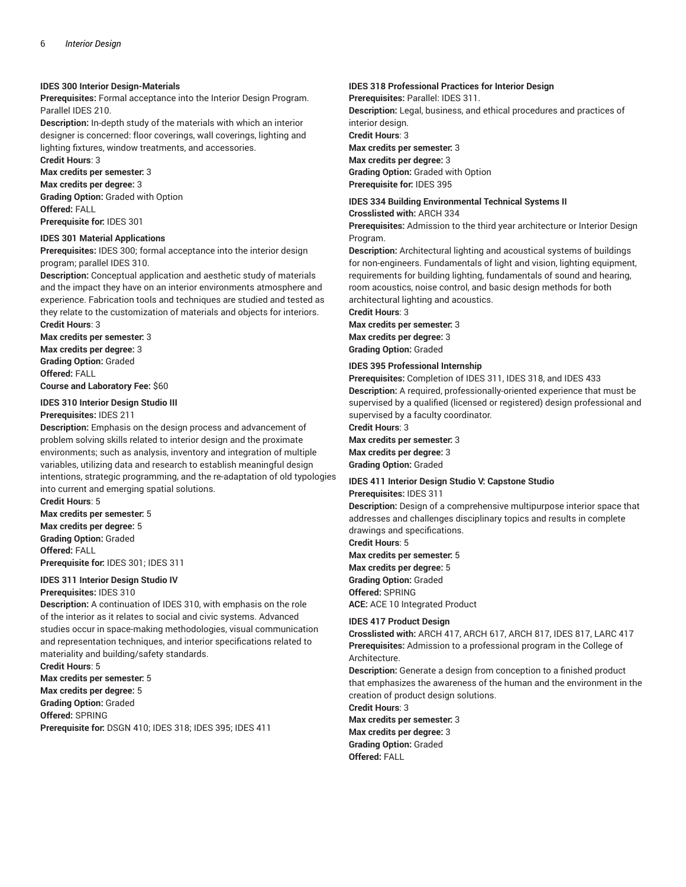### **IDES 300 Interior Design-Materials**

**Prerequisites:** Formal acceptance into the Interior Design Program. Parallel IDES 210.

**Description:** In-depth study of the materials with which an interior designer is concerned: floor coverings, wall coverings, lighting and lighting fixtures, window treatments, and accessories.

**Credit Hours**: 3

**Max credits per semester:** 3

**Max credits per degree:** 3 **Grading Option:** Graded with Option **Offered:** FALL

**Prerequisite for:** IDES 301

# **IDES 301 Material Applications**

**Prerequisites:** IDES 300; formal acceptance into the interior design program; parallel IDES 310.

**Description:** Conceptual application and aesthetic study of materials and the impact they have on an interior environments atmosphere and experience. Fabrication tools and techniques are studied and tested as they relate to the customization of materials and objects for interiors. **Credit Hours**: 3

**Max credits per semester:** 3 **Max credits per degree:** 3 **Grading Option:** Graded **Offered:** FALL **Course and Laboratory Fee:** \$60

**IDES 310 Interior Design Studio III**

# **Prerequisites:** IDES 211

**Description:** Emphasis on the design process and advancement of problem solving skills related to interior design and the proximate environments; such as analysis, inventory and integration of multiple variables, utilizing data and research to establish meaningful design intentions, strategic programming, and the re-adaptation of old typologies into current and emerging spatial solutions.

**Credit Hours**: 5 **Max credits per semester:** 5 **Max credits per degree:** 5 **Grading Option:** Graded **Offered:** FALL **Prerequisite for:** IDES 301; IDES 311

# **IDES 311 Interior Design Studio IV**

# **Prerequisites:** IDES 310

**Description:** A continuation of IDES 310, with emphasis on the role of the interior as it relates to social and civic systems. Advanced studies occur in space-making methodologies, visual communication and representation techniques, and interior specifications related to materiality and building/safety standards.

**Credit Hours**: 5 **Max credits per semester:** 5 **Max credits per degree:** 5 **Grading Option:** Graded **Offered:** SPRING **Prerequisite for:** DSGN 410; IDES 318; IDES 395; IDES 411

# **IDES 318 Professional Practices for Interior Design**

**Prerequisites:** Parallel: IDES 311.

**Description:** Legal, business, and ethical procedures and practices of interior design.

**Credit Hours**: 3 **Max credits per semester:** 3 **Max credits per degree:** 3 **Grading Option:** Graded with Option **Prerequisite for:** IDES 395

### **IDES 334 Building Environmental Technical Systems II Crosslisted with:** ARCH 334

**Prerequisites:** Admission to the third year architecture or Interior Design Program.

**Description:** Architectural lighting and acoustical systems of buildings for non-engineers. Fundamentals of light and vision, lighting equipment, requirements for building lighting, fundamentals of sound and hearing, room acoustics, noise control, and basic design methods for both architectural lighting and acoustics.

**Credit Hours**: 3

**Max credits per semester:** 3 **Max credits per degree:** 3 **Grading Option:** Graded

### **IDES 395 Professional Internship**

**Prerequisites:** Completion of IDES 311, IDES 318, and IDES 433 **Description:** A required, professionally-oriented experience that must be supervised by a qualified (licensed or registered) design professional and supervised by a faculty coordinator.

**Credit Hours**: 3 **Max credits per semester:** 3 **Max credits per degree:** 3 **Grading Option:** Graded

# **IDES 411 Interior Design Studio V: Capstone Studio**

**Prerequisites:** IDES 311

**Description:** Design of a comprehensive multipurpose interior space that addresses and challenges disciplinary topics and results in complete drawings and specifications.

**Credit Hours**: 5 **Max credits per semester:** 5 **Max credits per degree:** 5 **Grading Option:** Graded **Offered:** SPRING **ACE:** ACE 10 Integrated Product

### **IDES 417 Product Design**

**Crosslisted with:** ARCH 417, ARCH 617, ARCH 817, IDES 817, LARC 417 **Prerequisites:** Admission to a professional program in the College of Architecture.

**Description:** Generate a design from conception to a finished product that emphasizes the awareness of the human and the environment in the creation of product design solutions.

**Credit Hours**: 3 **Max credits per semester:** 3 **Max credits per degree:** 3 **Grading Option:** Graded **Offered:** FALL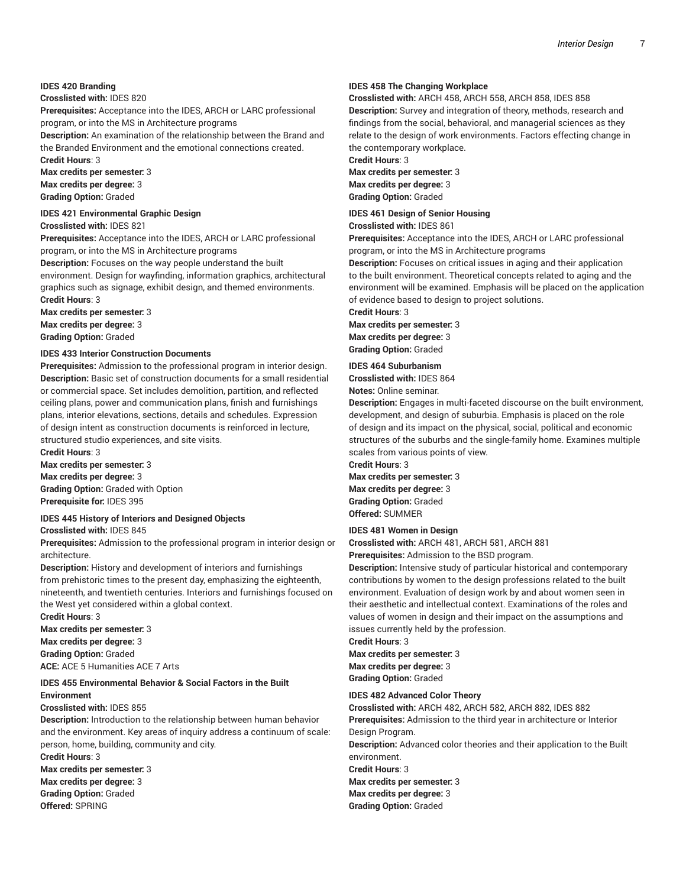### **IDES 420 Branding**

### **Crosslisted with:** IDES 820

**Prerequisites:** Acceptance into the IDES, ARCH or LARC professional program, or into the MS in Architecture programs

**Description:** An examination of the relationship between the Brand and the Branded Environment and the emotional connections created. **Credit Hours**: 3

**Max credits per semester:** 3 **Max credits per degree:** 3 **Grading Option:** Graded

#### **IDES 421 Environmental Graphic Design**

**Crosslisted with:** IDES 821

**Prerequisites:** Acceptance into the IDES, ARCH or LARC professional program, or into the MS in Architecture programs

**Description:** Focuses on the way people understand the built environment. Design for wayfinding, information graphics, architectural graphics such as signage, exhibit design, and themed environments. **Credit Hours**: 3

**Max credits per semester:** 3 **Max credits per degree:** 3 **Grading Option:** Graded

### **IDES 433 Interior Construction Documents**

**Prerequisites:** Admission to the professional program in interior design. **Description:** Basic set of construction documents for a small residential or commercial space. Set includes demolition, partition, and reflected ceiling plans, power and communication plans, finish and furnishings plans, interior elevations, sections, details and schedules. Expression of design intent as construction documents is reinforced in lecture, structured studio experiences, and site visits.

**Credit Hours**: 3 **Max credits per semester:** 3

**Max credits per degree:** 3 **Grading Option:** Graded with Option **Prerequisite for:** IDES 395

# **IDES 445 History of Interiors and Designed Objects**

**Crosslisted with:** IDES 845

**Prerequisites:** Admission to the professional program in interior design or architecture.

**Description:** History and development of interiors and furnishings from prehistoric times to the present day, emphasizing the eighteenth, nineteenth, and twentieth centuries. Interiors and furnishings focused on the West yet considered within a global context.

**Credit Hours**: 3 **Max credits per semester:** 3 **Max credits per degree:** 3 **Grading Option:** Graded **ACE:** ACE 5 Humanities ACE 7 Arts

## **IDES 455 Environmental Behavior & Social Factors in the Built Environment**

### **Crosslisted with:** IDES 855

**Description:** Introduction to the relationship between human behavior and the environment. Key areas of inquiry address a continuum of scale: person, home, building, community and city.

**Credit Hours**: 3 **Max credits per semester:** 3 **Max credits per degree:** 3 **Grading Option:** Graded **Offered:** SPRING

### **IDES 458 The Changing Workplace**

**Crosslisted with:** ARCH 458, ARCH 558, ARCH 858, IDES 858

**Description:** Survey and integration of theory, methods, research and findings from the social, behavioral, and managerial sciences as they relate to the design of work environments. Factors effecting change in the contemporary workplace.

**Credit Hours**: 3

**Max credits per semester:** 3 **Max credits per degree:** 3 **Grading Option:** Graded

# **IDES 461 Design of Senior Housing**

**Crosslisted with:** IDES 861

**Prerequisites:** Acceptance into the IDES, ARCH or LARC professional program, or into the MS in Architecture programs

**Description:** Focuses on critical issues in aging and their application to the built environment. Theoretical concepts related to aging and the environment will be examined. Emphasis will be placed on the application of evidence based to design to project solutions.

**Credit Hours**: 3

**Max credits per semester:** 3 **Max credits per degree:** 3 **Grading Option:** Graded

### **IDES 464 Suburbanism**

**Crosslisted with:** IDES 864 **Notes:** Online seminar.

**Description:** Engages in multi-faceted discourse on the built environment, development, and design of suburbia. Emphasis is placed on the role of design and its impact on the physical, social, political and economic structures of the suburbs and the single-family home. Examines multiple scales from various points of view.

**Credit Hours**: 3 **Max credits per semester:** 3 **Max credits per degree:** 3 **Grading Option:** Graded **Offered:** SUMMER

#### **IDES 481 Women in Design**

**Crosslisted with:** ARCH 481, ARCH 581, ARCH 881 **Prerequisites:** Admission to the BSD program.

**Description:** Intensive study of particular historical and contemporary contributions by women to the design professions related to the built environment. Evaluation of design work by and about women seen in their aesthetic and intellectual context. Examinations of the roles and values of women in design and their impact on the assumptions and issues currently held by the profession.

**Credit Hours**: 3

**Max credits per semester:** 3 **Max credits per degree:** 3 **Grading Option:** Graded

### **IDES 482 Advanced Color Theory**

**Crosslisted with:** ARCH 482, ARCH 582, ARCH 882, IDES 882 **Prerequisites:** Admission to the third year in architecture or Interior Design Program. **Description:** Advanced color theories and their application to the Built environment.

**Credit Hours**: 3

**Max credits per semester:** 3

**Max credits per degree:** 3

**Grading Option:** Graded